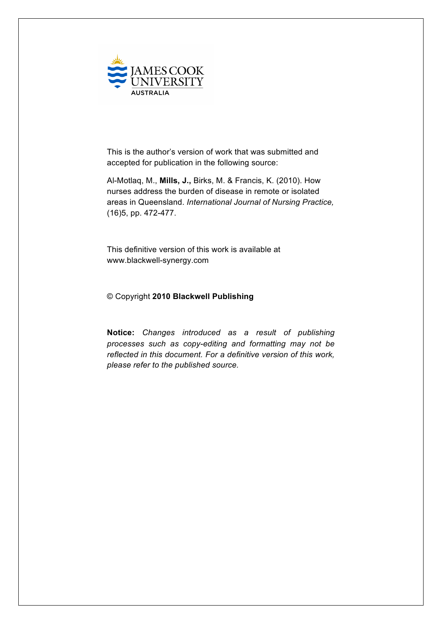

This is the author's version of work that was submitted and accepted for publication in the following source:

Al-Motlaq, M., **Mills, J.,** Birks, M. & Francis, K. (2010). How nurses address the burden of disease in remote or isolated areas in Queensland. *International Journal of Nursing Practice,*  (16)5, pp. 472-477.

This definitive version of this work is available at www.blackwell-synergy.com

#### © Copyright **2010 Blackwell Publishing**

**Notice:** *Changes introduced as a result of publishing processes such as copy-editing and formatting may not be reflected in this document. For a definitive version of this work, please refer to the published source.*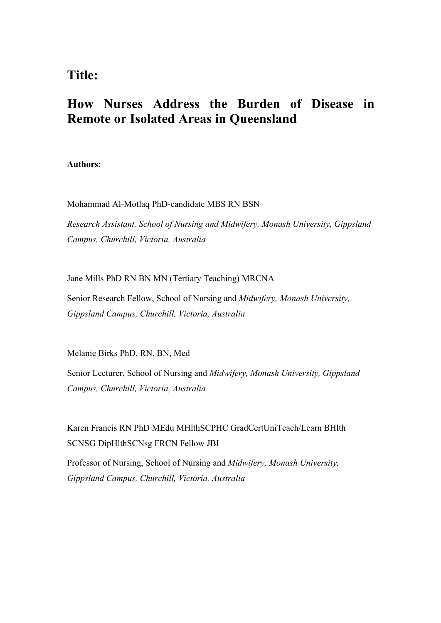## **Title:**

# **How Nurses Address the Burden of Disease in Remote or Isolated Areas in Queensland**

**Authors:**

Mohammad Al-Motlaq PhD-candidate MBS RN BSN

*Research Assistant, School of Nursing and Midwifery, Monash University, Gippsland Campus, Churchill, Victoria, Australia*

Jane Mills PhD RN BN MN (Tertiary Teaching) MRCNA

Senior Research Fellow, School of Nursing and *Midwifery, Monash University, Gippsland Campus, Churchill, Victoria, Australia*

Melanie Birks PhD, RN, BN, Med

Senior Lecturer, School of Nursing and *Midwifery, Monash University, Gippsland Campus, Churchill, Victoria, Australia*

Karen Francis RN PhD MEdu MHlthSCPHC GradCertUniTeach/Learn BHlth SCNSG DipHlthSCNsg FRCN Fellow JBI

Professor of Nursing, School of Nursing and *Midwifery, Monash University, Gippsland Campus, Churchill, Victoria, Australia*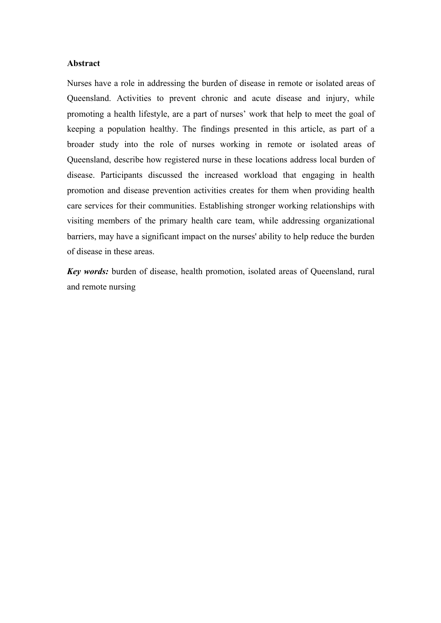## **Abstract**

Nurses have a role in addressing the burden of disease in remote or isolated areas of Queensland. Activities to prevent chronic and acute disease and injury, while promoting a health lifestyle, are a part of nurses' work that help to meet the goal of keeping a population healthy. The findings presented in this article, as part of a broader study into the role of nurses working in remote or isolated areas of Queensland, describe how registered nurse in these locations address local burden of disease. Participants discussed the increased workload that engaging in health promotion and disease prevention activities creates for them when providing health care services for their communities. Establishing stronger working relationships with visiting members of the primary health care team, while addressing organizational barriers, may have a significant impact on the nurses' ability to help reduce the burden of disease in these areas.

*Key words:* burden of disease, health promotion, isolated areas of Oueensland, rural and remote nursing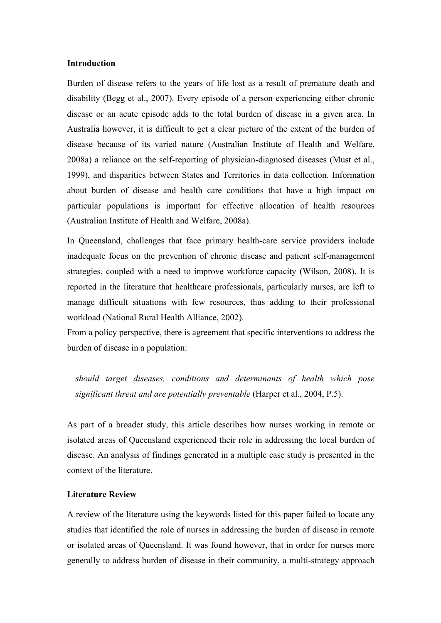### **Introduction**

Burden of disease refers to the years of life lost as a result of premature death and disability (Begg et al., 2007). Every episode of a person experiencing either chronic disease or an acute episode adds to the total burden of disease in a given area. In Australia however, it is difficult to get a clear picture of the extent of the burden of disease because of its varied nature (Australian Institute of Health and Welfare, 2008a) a reliance on the self-reporting of physician-diagnosed diseases (Must et al., 1999), and disparities between States and Territories in data collection. Information about burden of disease and health care conditions that have a high impact on particular populations is important for effective allocation of health resources (Australian Institute of Health and Welfare, 2008a).

In Queensland, challenges that face primary health-care service providers include inadequate focus on the prevention of chronic disease and patient self-management strategies, coupled with a need to improve workforce capacity (Wilson, 2008). It is reported in the literature that healthcare professionals, particularly nurses, are left to manage difficult situations with few resources, thus adding to their professional workload (National Rural Health Alliance, 2002).

From a policy perspective, there is agreement that specific interventions to address the burden of disease in a population:

*should target diseases, conditions and determinants of health which pose significant threat and are potentially preventable* (Harper et al., 2004, P.5).

As part of a broader study, this article describes how nurses working in remote or isolated areas of Queensland experienced their role in addressing the local burden of disease. An analysis of findings generated in a multiple case study is presented in the context of the literature.

#### **Literature Review**

A review of the literature using the keywords listed for this paper failed to locate any studies that identified the role of nurses in addressing the burden of disease in remote or isolated areas of Queensland. It was found however, that in order for nurses more generally to address burden of disease in their community, a multi-strategy approach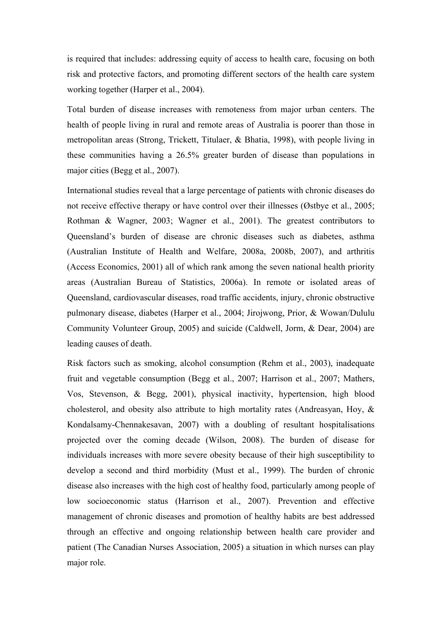is required that includes: addressing equity of access to health care, focusing on both risk and protective factors, and promoting different sectors of the health care system working together (Harper et al., 2004).

Total burden of disease increases with remoteness from major urban centers. The health of people living in rural and remote areas of Australia is poorer than those in metropolitan areas (Strong, Trickett, Titulaer, & Bhatia, 1998), with people living in these communities having a 26.5% greater burden of disease than populations in major cities (Begg et al., 2007).

International studies reveal that a large percentage of patients with chronic diseases do not receive effective therapy or have control over their illnesses (Østbye et al., 2005; Rothman & Wagner, 2003; Wagner et al., 2001). The greatest contributors to Queensland's burden of disease are chronic diseases such as diabetes, asthma (Australian Institute of Health and Welfare, 2008a, 2008b, 2007), and arthritis (Access Economics, 2001) all of which rank among the seven national health priority areas (Australian Bureau of Statistics, 2006a). In remote or isolated areas of Queensland, cardiovascular diseases, road traffic accidents, injury, chronic obstructive pulmonary disease, diabetes (Harper et al., 2004; Jirojwong, Prior, & Wowan/Dululu Community Volunteer Group, 2005) and suicide (Caldwell, Jorm, & Dear, 2004) are leading causes of death.

Risk factors such as smoking, alcohol consumption (Rehm et al., 2003), inadequate fruit and vegetable consumption (Begg et al., 2007; Harrison et al., 2007; Mathers, Vos, Stevenson, & Begg, 2001), physical inactivity, hypertension, high blood cholesterol, and obesity also attribute to high mortality rates (Andreasyan, Hoy, & Kondalsamy-Chennakesavan, 2007) with a doubling of resultant hospitalisations projected over the coming decade (Wilson, 2008). The burden of disease for individuals increases with more severe obesity because of their high susceptibility to develop a second and third morbidity (Must et al., 1999). The burden of chronic disease also increases with the high cost of healthy food, particularly among people of low socioeconomic status (Harrison et al., 2007). Prevention and effective management of chronic diseases and promotion of healthy habits are best addressed through an effective and ongoing relationship between health care provider and patient (The Canadian Nurses Association, 2005) a situation in which nurses can play major role.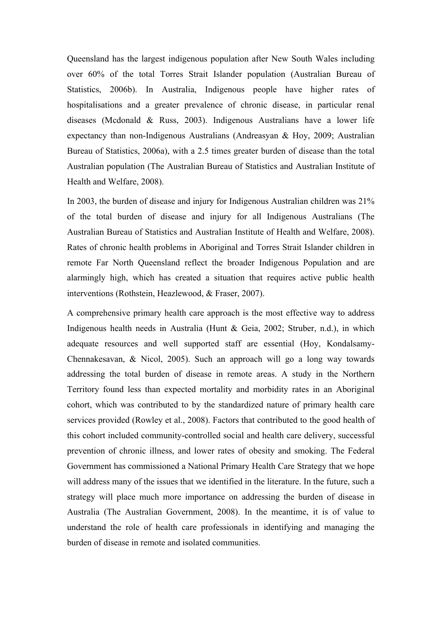Queensland has the largest indigenous population after New South Wales including over 60% of the total Torres Strait Islander population (Australian Bureau of Statistics, 2006b). In Australia, Indigenous people have higher rates of hospitalisations and a greater prevalence of chronic disease, in particular renal diseases (Mcdonald & Russ, 2003). Indigenous Australians have a lower life expectancy than non-Indigenous Australians (Andreasyan & Hoy, 2009; Australian Bureau of Statistics, 2006a), with a 2.5 times greater burden of disease than the total Australian population (The Australian Bureau of Statistics and Australian Institute of Health and Welfare, 2008).

In 2003, the burden of disease and injury for Indigenous Australian children was 21% of the total burden of disease and injury for all Indigenous Australians (The Australian Bureau of Statistics and Australian Institute of Health and Welfare, 2008). Rates of chronic health problems in Aboriginal and Torres Strait Islander children in remote Far North Queensland reflect the broader Indigenous Population and are alarmingly high, which has created a situation that requires active public health interventions (Rothstein, Heazlewood, & Fraser, 2007).

A comprehensive primary health care approach is the most effective way to address Indigenous health needs in Australia (Hunt & Geia, 2002; Struber, n.d.), in which adequate resources and well supported staff are essential (Hoy, Kondalsamy-Chennakesavan, & Nicol, 2005). Such an approach will go a long way towards addressing the total burden of disease in remote areas. A study in the Northern Territory found less than expected mortality and morbidity rates in an Aboriginal cohort, which was contributed to by the standardized nature of primary health care services provided (Rowley et al., 2008). Factors that contributed to the good health of this cohort included community-controlled social and health care delivery, successful prevention of chronic illness, and lower rates of obesity and smoking. The Federal Government has commissioned a National Primary Health Care Strategy that we hope will address many of the issues that we identified in the literature. In the future, such a strategy will place much more importance on addressing the burden of disease in Australia (The Australian Government, 2008). In the meantime, it is of value to understand the role of health care professionals in identifying and managing the burden of disease in remote and isolated communities.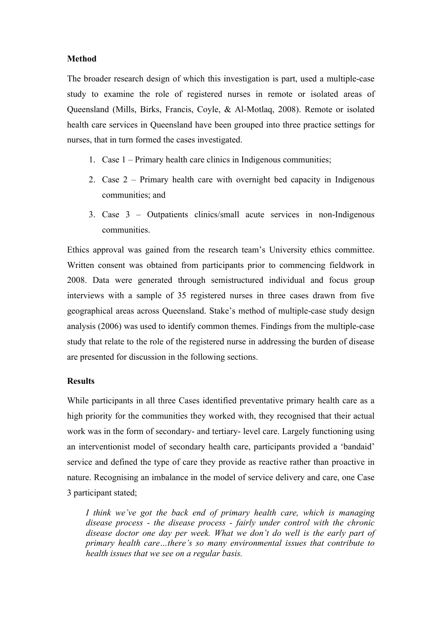### **Method**

The broader research design of which this investigation is part, used a multiple-case study to examine the role of registered nurses in remote or isolated areas of Queensland (Mills, Birks, Francis, Coyle, & Al-Motlaq, 2008). Remote or isolated health care services in Queensland have been grouped into three practice settings for nurses, that in turn formed the cases investigated.

- 1. Case 1 Primary health care clinics in Indigenous communities;
- 2. Case 2 Primary health care with overnight bed capacity in Indigenous communities; and
- 3. Case 3 Outpatients clinics/small acute services in non-Indigenous communities.

Ethics approval was gained from the research team's University ethics committee. Written consent was obtained from participants prior to commencing fieldwork in 2008. Data were generated through semistructured individual and focus group interviews with a sample of 35 registered nurses in three cases drawn from five geographical areas across Queensland. Stake's method of multiple-case study design analysis (2006) was used to identify common themes. Findings from the multiple-case study that relate to the role of the registered nurse in addressing the burden of disease are presented for discussion in the following sections.

#### **Results**

While participants in all three Cases identified preventative primary health care as a high priority for the communities they worked with, they recognised that their actual work was in the form of secondary- and tertiary- level care. Largely functioning using an interventionist model of secondary health care, participants provided a 'bandaid' service and defined the type of care they provide as reactive rather than proactive in nature. Recognising an imbalance in the model of service delivery and care, one Case 3 participant stated;

*I think we've got the back end of primary health care, which is managing disease process - the disease process - fairly under control with the chronic disease doctor one day per week. What we don't do well is the early part of primary health care…there's so many environmental issues that contribute to health issues that we see on a regular basis.*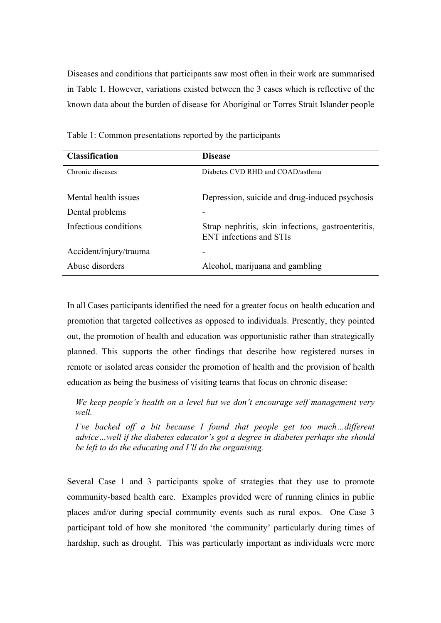Diseases and conditions that participants saw most often in their work are summarised in Table 1. However, variations existed between the 3 cases which is reflective of the known data about the burden of disease for Aboriginal or Torres Strait Islander people

| <b>Classification</b>  | <b>Disease</b>                                                                       |
|------------------------|--------------------------------------------------------------------------------------|
| Chronic diseases       | Diabetes CVD RHD and COAD/asthma                                                     |
| Mental health issues   | Depression, suicide and drug-induced psychosis                                       |
| Dental problems        |                                                                                      |
| Infectious conditions  | Strap nephritis, skin infections, gastroenteritis,<br><b>ENT</b> infections and STIs |
| Accident/injury/trauma |                                                                                      |
| Abuse disorders        | Alcohol, marijuana and gambling                                                      |

Table 1: Common presentations reported by the participants

In all Cases participants identified the need for a greater focus on health education and promotion that targeted collectives as opposed to individuals. Presently, they pointed out, the promotion of health and education was opportunistic rather than strategically planned. This supports the other findings that describe how registered nurses in remote or isolated areas consider the promotion of health and the provision of health education as being the business of visiting teams that focus on chronic disease:

*We keep people's health on a level but we don't encourage self management very well.*

*I've backed off a bit because I found that people get too much...different advice…well if the diabetes educator's got a degree in diabetes perhaps she should be left to do the educating and I'll do the organising.*

Several Case 1 and 3 participants spoke of strategies that they use to promote community-based health care. Examples provided were of running clinics in public places and/or during special community events such as rural expos. One Case 3 participant told of how she monitored 'the community' particularly during times of hardship, such as drought. This was particularly important as individuals were more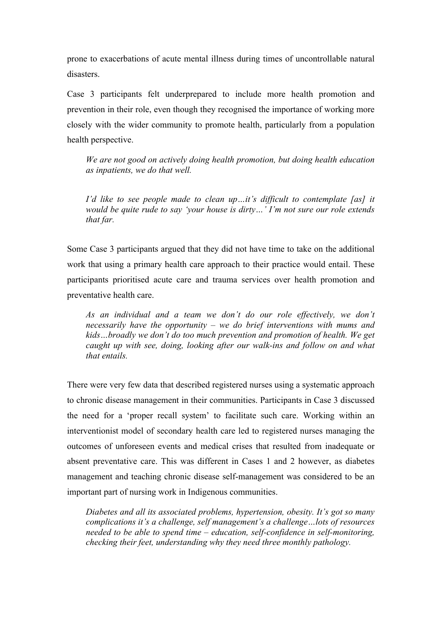prone to exacerbations of acute mental illness during times of uncontrollable natural disasters.

Case 3 participants felt underprepared to include more health promotion and prevention in their role, even though they recognised the importance of working more closely with the wider community to promote health, particularly from a population health perspective.

*We are not good on actively doing health promotion, but doing health education as inpatients, we do that well.*

*I'd like to see people made to clean up…it's difficult to contemplate [as] it would be quite rude to say 'your house is dirty…' I'm not sure our role extends that far.*

Some Case 3 participants argued that they did not have time to take on the additional work that using a primary health care approach to their practice would entail. These participants prioritised acute care and trauma services over health promotion and preventative health care.

*As an individual and a team we don't do our role effectively, we don't necessarily have the opportunity – we do brief interventions with mums and kids…broadly we don't do too much prevention and promotion of health. We get caught up with see, doing, looking after our walk-ins and follow on and what that entails.*

There were very few data that described registered nurses using a systematic approach to chronic disease management in their communities. Participants in Case 3 discussed the need for a 'proper recall system' to facilitate such care. Working within an interventionist model of secondary health care led to registered nurses managing the outcomes of unforeseen events and medical crises that resulted from inadequate or absent preventative care. This was different in Cases 1 and 2 however, as diabetes management and teaching chronic disease self-management was considered to be an important part of nursing work in Indigenous communities.

*Diabetes and all its associated problems, hypertension, obesity. It's got so many complications it's a challenge, self management's a challenge…lots of resources needed to be able to spend time – education, self-confidence in self-monitoring, checking their feet, understanding why they need three monthly pathology.*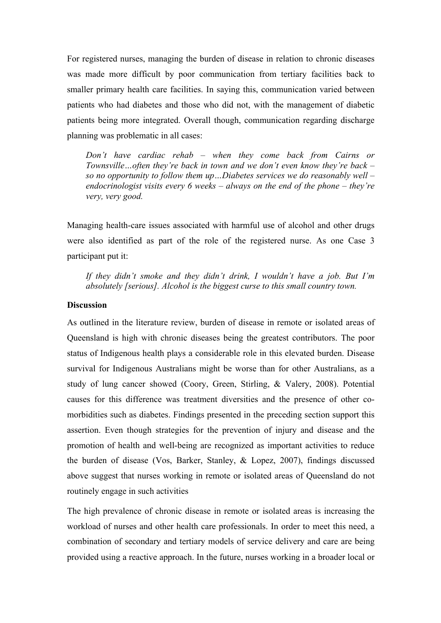For registered nurses, managing the burden of disease in relation to chronic diseases was made more difficult by poor communication from tertiary facilities back to smaller primary health care facilities. In saying this, communication varied between patients who had diabetes and those who did not, with the management of diabetic patients being more integrated. Overall though, communication regarding discharge planning was problematic in all cases:

*Don't have cardiac rehab – when they come back from Cairns or Townsville…often they're back in town and we don't even know they're back – so no opportunity to follow them up…Diabetes services we do reasonably well – endocrinologist visits every 6 weeks – always on the end of the phone – they're very, very good.*

Managing health-care issues associated with harmful use of alcohol and other drugs were also identified as part of the role of the registered nurse. As one Case 3 participant put it:

*If they didn't smoke and they didn't drink, I wouldn't have a job. But I'm absolutely [serious]. Alcohol is the biggest curse to this small country town.*

## **Discussion**

As outlined in the literature review, burden of disease in remote or isolated areas of Queensland is high with chronic diseases being the greatest contributors. The poor status of Indigenous health plays a considerable role in this elevated burden. Disease survival for Indigenous Australians might be worse than for other Australians, as a study of lung cancer showed (Coory, Green, Stirling, & Valery, 2008). Potential causes for this difference was treatment diversities and the presence of other comorbidities such as diabetes. Findings presented in the preceding section support this assertion. Even though strategies for the prevention of injury and disease and the promotion of health and well-being are recognized as important activities to reduce the burden of disease (Vos, Barker, Stanley, & Lopez, 2007), findings discussed above suggest that nurses working in remote or isolated areas of Queensland do not routinely engage in such activities

The high prevalence of chronic disease in remote or isolated areas is increasing the workload of nurses and other health care professionals. In order to meet this need, a combination of secondary and tertiary models of service delivery and care are being provided using a reactive approach. In the future, nurses working in a broader local or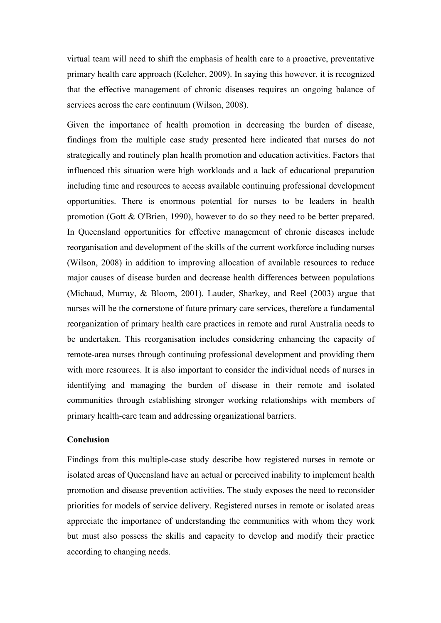virtual team will need to shift the emphasis of health care to a proactive, preventative primary health care approach (Keleher, 2009). In saying this however, it is recognized that the effective management of chronic diseases requires an ongoing balance of services across the care continuum (Wilson, 2008).

Given the importance of health promotion in decreasing the burden of disease, findings from the multiple case study presented here indicated that nurses do not strategically and routinely plan health promotion and education activities. Factors that influenced this situation were high workloads and a lack of educational preparation including time and resources to access available continuing professional development opportunities. There is enormous potential for nurses to be leaders in health promotion (Gott & O'Brien, 1990), however to do so they need to be better prepared. In Queensland opportunities for effective management of chronic diseases include reorganisation and development of the skills of the current workforce including nurses (Wilson, 2008) in addition to improving allocation of available resources to reduce major causes of disease burden and decrease health differences between populations (Michaud, Murray, & Bloom, 2001). Lauder, Sharkey, and Reel (2003) argue that nurses will be the cornerstone of future primary care services, therefore a fundamental reorganization of primary health care practices in remote and rural Australia needs to be undertaken. This reorganisation includes considering enhancing the capacity of remote-area nurses through continuing professional development and providing them with more resources. It is also important to consider the individual needs of nurses in identifying and managing the burden of disease in their remote and isolated communities through establishing stronger working relationships with members of primary health-care team and addressing organizational barriers.

#### **Conclusion**

Findings from this multiple-case study describe how registered nurses in remote or isolated areas of Queensland have an actual or perceived inability to implement health promotion and disease prevention activities. The study exposes the need to reconsider priorities for models of service delivery. Registered nurses in remote or isolated areas appreciate the importance of understanding the communities with whom they work but must also possess the skills and capacity to develop and modify their practice according to changing needs.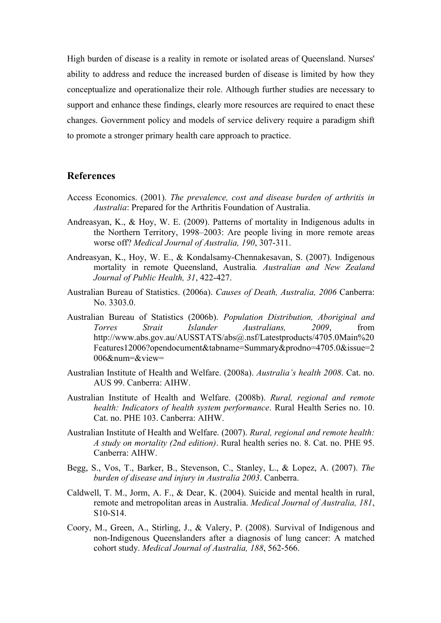High burden of disease is a reality in remote or isolated areas of Queensland. Nurses' ability to address and reduce the increased burden of disease is limited by how they conceptualize and operationalize their role. Although further studies are necessary to support and enhance these findings, clearly more resources are required to enact these changes. Government policy and models of service delivery require a paradigm shift to promote a stronger primary health care approach to practice.

## **References**

- Access Economics. (2001). *The prevalence, cost and disease burden of arthritis in Australia*: Prepared for the Arthritis Foundation of Australia.
- Andreasyan, K., & Hoy, W. E. (2009). Patterns of mortality in Indigenous adults in the Northern Territory, 1998–2003: Are people living in more remote areas worse off? *Medical Journal of Australia, 190*, 307-311.
- Andreasyan, K., Hoy, W. E., & Kondalsamy-Chennakesavan, S. (2007). Indigenous mortality in remote Queensland, Australia*. Australian and New Zealand Journal of Public Health, 31*, 422-427.
- Australian Bureau of Statistics. (2006a). *Causes of Death, Australia, 2006* Canberra: No. 3303.0.
- Australian Bureau of Statistics (2006b). *Population Distribution, Aboriginal and Torres Strait Islander Australians, 2009*, from http://www.abs.gov.au/AUSSTATS/abs@.nsf/Latestproducts/4705.0Main%20 Features12006?opendocument&tabname=Summary&prodno=4705.0&issue=2 006&num=&view=
- Australian Institute of Health and Welfare. (2008a). *Australia's health 2008*. Cat. no. AUS 99. Canberra: AIHW.
- Australian Institute of Health and Welfare. (2008b). *Rural, regional and remote health: Indicators of health system performance*. Rural Health Series no. 10. Cat. no. PHE 103. Canberra: AIHW.
- Australian Institute of Health and Welfare. (2007). *Rural, regional and remote health: A study on mortality (2nd edition)*. Rural health series no. 8. Cat. no. PHE 95. Canberra: AIHW.
- Begg, S., Vos, T., Barker, B., Stevenson, C., Stanley, L., & Lopez, A. (2007). *The burden of disease and injury in Australia 2003*. Canberra.
- Caldwell, T. M., Jorm, A. F., & Dear, K. (2004). Suicide and mental health in rural, remote and metropolitan areas in Australia. *Medical Journal of Australia, 181*, S10-S14.
- Coory, M., Green, A., Stirling, J., & Valery, P. (2008). Survival of Indigenous and non-Indigenous Queenslanders after a diagnosis of lung cancer: A matched cohort study. *Medical Journal of Australia, 188*, 562-566.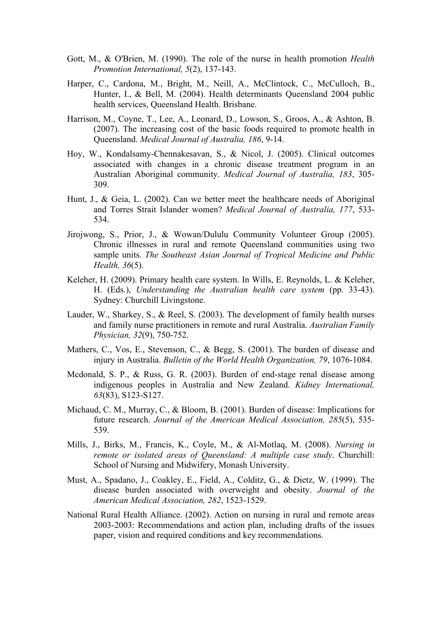- Gott, M., & O'Brien, M. (1990). The role of the nurse in health promotion *Health Promotion International, 5*(2), 137-143.
- Harper, C., Cardona, M., Bright, M., Neill, A., McClintock, C., McCulloch, B., Hunter, I., & Bell, M. (2004). Health determinants Queensland 2004 public health services, Queensland Health. Brisbane.
- Harrison, M., Coyne, T., Lee, A., Leonard, D., Lowson, S., Groos, A., & Ashton, B. (2007). The increasing cost of the basic foods required to promote health in Queensland. *Medical Journal of Australia, 186*, 9-14.
- Hoy, W., Kondalsamy-Chennakesavan, S., & Nicol, J. (2005). Clinical outcomes associated with changes in a chronic disease treatment program in an Australian Aboriginal community. *Medical Journal of Australia, 183*, 305- 309.
- Hunt, J., & Geia, L. (2002). Can we better meet the healthcare needs of Aboriginal and Torres Strait Islander women? *Medical Journal of Australia, 177*, 533- 534.
- Jirojwong, S., Prior, J., & Wowan/Dululu Community Volunteer Group (2005). Chronic illnesses in rural and remote Queensland communities using two sample units. *The Southeast Asian Journal of Tropical Medicine and Public Health, 36*(5).
- Keleher, H. (2009). Primary health care system. In Wills, E. Reynolds, L. & Keleher, H. (Eds.), *Understanding the Australian health care system* (pp. 33-43). Sydney: Churchill Livingstone.
- Lauder, W., Sharkey, S., & Reel, S. (2003). The development of family health nurses and family nurse practitioners in remote and rural Australia. *Australian Family Physician, 32*(9), 750-752.
- Mathers, C., Vos, E., Stevenson, C., & Begg, S. (2001). The burden of disease and injury in Australia. *Bulletin of the World Health Organization, 79*, 1076-1084.
- Mcdonald, S. P., & Russ, G. R. (2003). Burden of end-stage renal disease among indigenous peoples in Australia and New Zealand. *Kidney International, 63*(83), S123-S127.
- Michaud, C. M., Murray, C., & Bloom, B. (2001). Burden of disease: Implications for future research. *Journal of the American Medical Association, 285*(5), 535- 539.
- Mills, J., Birks, M., Francis, K., Coyle, M., & Al-Motlaq, M. (2008). *Nursing in remote or isolated areas of Queensland: A multiple case study*. Churchill: School of Nursing and Midwifery, Monash University.
- Must, A., Spadano, J., Coakley, E., Field, A., Colditz, G., & Dietz, W. (1999). The disease burden associated with overweight and obesity. *Journal of the American Medical Association, 282*, 1523-1529.
- National Rural Health Alliance. (2002). Action on nursing in rural and remote areas 2003-2003: Recommendations and action plan, including drafts of the issues paper, vision and required conditions and key recommendations.